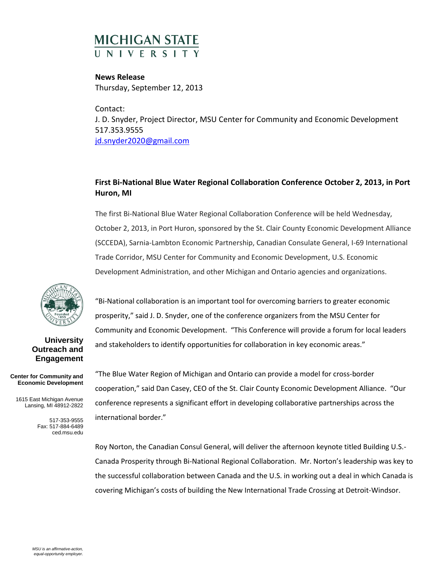## **MICHIGAN STATE**

**News Release** Thursday, September 12, 2013

Contact: J. D. Snyder, Project Director, MSU Center for Community and Economic Development 517.353.9555 [jd.snyder2020@gmail.com](mailto:jd.snyder2020@gmail.com)

## **First Bi-National Blue Water Regional Collaboration Conference October 2, 2013, in Port Huron, MI**

The first Bi-National Blue Water Regional Collaboration Conference will be held Wednesday, October 2, 2013, in Port Huron, sponsored by the St. Clair County Economic Development Alliance (SCCEDA), Sarnia-Lambton Economic Partnership, Canadian Consulate General, I-69 International Trade Corridor, MSU Center for Community and Economic Development, U.S. Economic Development Administration, and other Michigan and Ontario agencies and organizations.



**University Outreach and Engagement**

**Center for Community and Economic Development**

1615 East Michigan Avenue Lansing, MI 48912-2822

> 517-353-9555 Fax: 517-884-6489 ced.msu.edu

"Bi-National collaboration is an important tool for overcoming barriers to greater economic prosperity," said J. D. Snyder, one of the conference organizers from the MSU Center for Community and Economic Development. "This Conference will provide a forum for local leaders and stakeholders to identify opportunities for collaboration in key economic areas."

"The Blue Water Region of Michigan and Ontario can provide a model for cross-border cooperation," said Dan Casey, CEO of the St. Clair County Economic Development Alliance. "Our conference represents a significant effort in developing collaborative partnerships across the international border."

Roy Norton, the Canadian Consul General, will deliver the afternoon keynote titled Building U.S.- Canada Prosperity through Bi-National Regional Collaboration. Mr. Norton's leadership was key to the successful collaboration between Canada and the U.S. in working out a deal in which Canada is covering Michigan's costs of building the New International Trade Crossing at Detroit-Windsor.